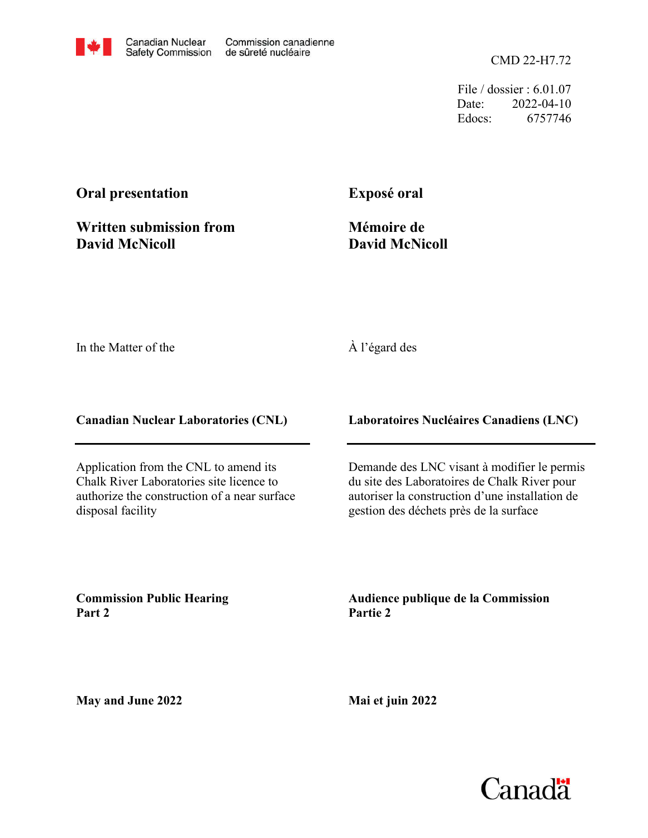CMD 22-H7.72

File / dossier : 6.01.07 Date: 2022-04-10 Edocs: 6757746

## **Oral presentation**

**Written submission from David McNicoll**

**Exposé oral**

**Mémoire de David McNicoll**

In the Matter of the

## À l'égard des

**Canadian Nuclear Laboratories (CNL)**

Application from the CNL to amend its Chalk River Laboratories site licence to authorize the construction of a near surface disposal facility

**Laboratoires Nucléaires Canadiens (LNC)**

Demande des LNC visant à modifier le permis du site des Laboratoires de Chalk River pour autoriser la construction d'une installation de gestion des déchets près de la surface

**Commission Public Hearing Part 2**

**Audience publique de la Commission Partie 2**

**May and June 2022**

**Mai et juin 2022**

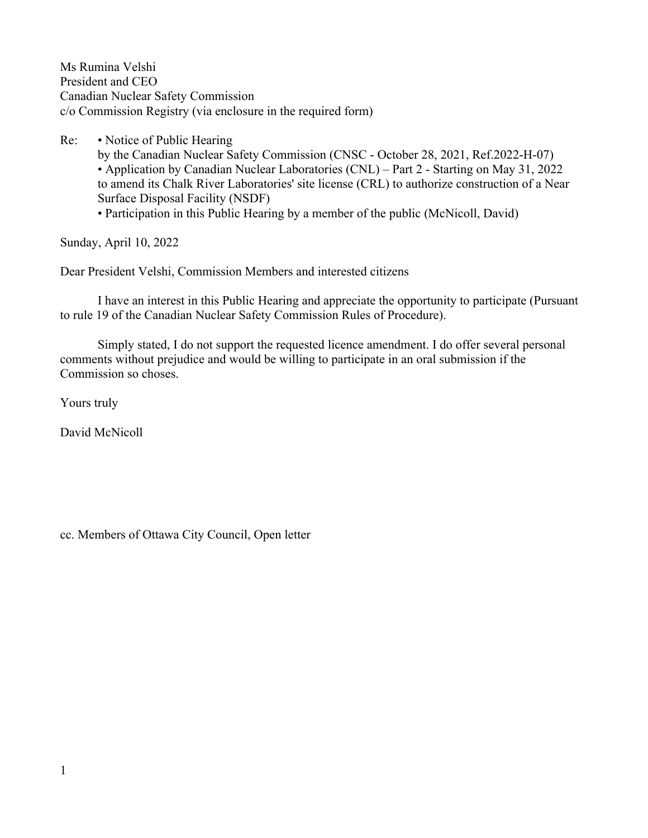Ms Rumina Velshi President and CEO Canadian Nuclear Safety Commission c/o Commission Registry (via enclosure in the required form)

Re: • Notice of Public Hearing

by the Canadian Nuclear Safety Commission (CNSC - October 28, 2021, Ref.2022-H-07) • Application by Canadian Nuclear Laboratories (CNL) – Part 2 - Starting on May 31, 2022 to amend its Chalk River Laboratories' site license (CRL) to authorize construction of a Near Surface Disposal Facility (NSDF)

• Participation in this Public Hearing by a member of the public (McNicoll, David)

Sunday, April 10, 2022

Dear President Velshi, Commission Members and interested citizens

I have an interest in this Public Hearing and appreciate the opportunity to participate (Pursuant to rule 19 of the Canadian Nuclear Safety Commission Rules of Procedure).

Simply stated, I do not support the requested licence amendment. I do offer several personal comments without prejudice and would be willing to participate in an oral submission if the Commission so choses.

Yours truly

David McNicoll

cc. Members of Ottawa City Council, Open letter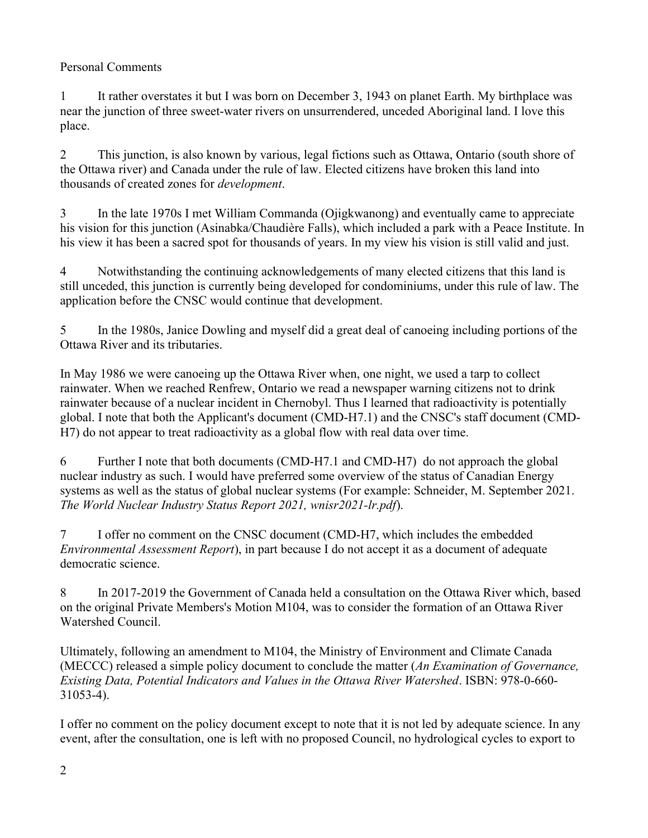## Personal Comments

1 It rather overstates it but I was born on December 3, 1943 on planet Earth. My birthplace was near the junction of three sweet-water rivers on unsurrendered, unceded Aboriginal land. I love this place.

2 This junction, is also known by various, legal fictions such as Ottawa, Ontario (south shore of the Ottawa river) and Canada under the rule of law. Elected citizens have broken this land into thousands of created zones for *development*.

3 In the late 1970s I met William Commanda (Ojigkwanong) and eventually came to appreciate his vision for this junction (Asinabka/Chaudière Falls), which included a park with a Peace Institute. In his view it has been a sacred spot for thousands of years. In my view his vision is still valid and just.

4 Notwithstanding the continuing acknowledgements of many elected citizens that this land is still unceded, this junction is currently being developed for condominiums, under this rule of law. The application before the CNSC would continue that development.

5 In the 1980s, Janice Dowling and myself did a great deal of canoeing including portions of the Ottawa River and its tributaries.

In May 1986 we were canoeing up the Ottawa River when, one night, we used a tarp to collect rainwater. When we reached Renfrew, Ontario we read a newspaper warning citizens not to drink rainwater because of a nuclear incident in Chernobyl. Thus I learned that radioactivity is potentially global. I note that both the Applicant's document (CMD-H7.1) and the CNSC's staff document (CMD-H7) do not appear to treat radioactivity as a global flow with real data over time.

6 Further I note that both documents (CMD-H7.1 and CMD-H7) do not approach the global nuclear industry as such. I would have preferred some overview of the status of Canadian Energy systems as well as the status of global nuclear systems (For example: Schneider, M. September 2021. *The World Nuclear Industry Status Report 2021, wnisr2021-lr.pdf*).

7 I offer no comment on the CNSC document (CMD-H7, which includes the embedded *Environmental Assessment Report*), in part because I do not accept it as a document of adequate democratic science.

8 In 2017-2019 the Government of Canada held a consultation on the Ottawa River which, based on the original Private Members's Motion M104, was to consider the formation of an Ottawa River Watershed Council.

Ultimately, following an amendment to M104, the Ministry of Environment and Climate Canada (MECCC) released a simple policy document to conclude the matter (*An Examination of Governance, Existing Data, Potential Indicators and Values in the Ottawa River Watershed*. ISBN: 978-0-660- 31053-4).

I offer no comment on the policy document except to note that it is not led by adequate science. In any event, after the consultation, one is left with no proposed Council, no hydrological cycles to export to